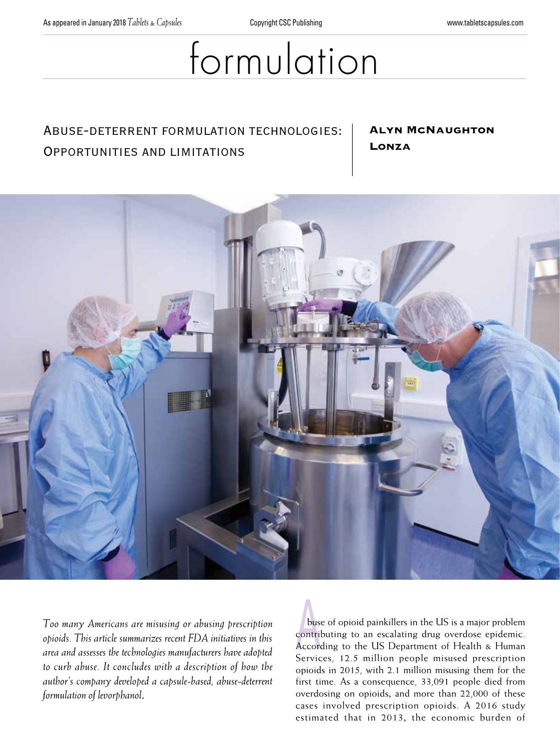# formulation

## Abuse-deterrent formulation technologies: Opportunities and limitations

### Alyn McNaughton Lonza



*Too many Americans are misusing or abusing prescription opioids. This article summarizes recent FDA initiatives in this area and assesses the technologies manufacturers have adopted to curb abuse. It concludes with a description of how the author's company developed a capsule-based, abuse-deterrent formulation of levorphanol*.

bus<br>contri<br>Accor buse of opioid painkillers in the US is a major problem contributing to an escalating drug overdose epidemic. According to the US Department of Health & Human Services, 12.5 million people misused prescription opioids in 2015, with 2.1 million misusing them for the first time. As a consequence, 33,091 people died from overdosing on opioids, and more than 22,000 of these cases involved prescription opioids. A 2016 study estimated that in 2013, the economic burden of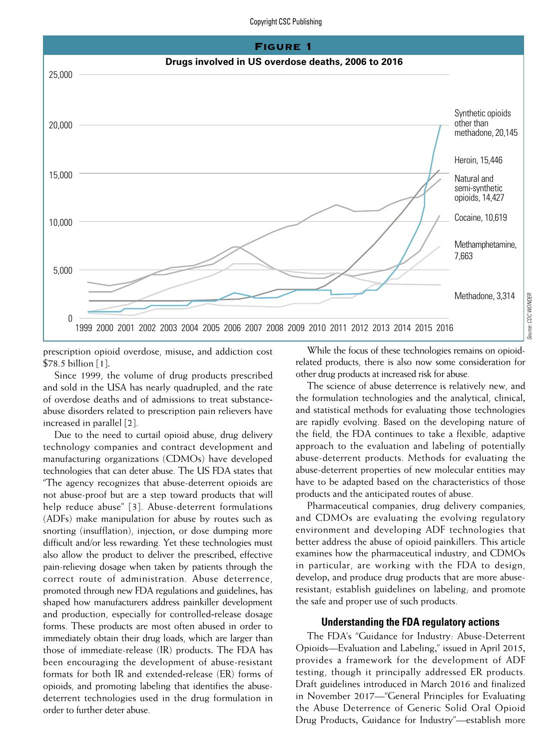#### Copyright CSC Publishing



prescription opioid overdose, misuse, and addiction cost \$78.5 billion [1].

Since 1999, the volume of drug products prescribed and sold in the USA has nearly quadrupled, and the rate of overdose deaths and of admissions to treat substanceabuse disorders related to prescription pain relievers have increased in parallel [2].

Due to the need to curtail opioid abuse, drug delivery technology companies and contract development and manufacturing organizations (CDMOs) have developed technologies that can deter abuse. The US FDA states that "The agency recognizes that abuse-deterrent opioids are not abuse-proof but are a step toward products that will help reduce abuse" [3]. Abuse-deterrent formulations (ADFs) make manipulation for abuse by routes such as snorting (insufflation), injection, or dose dumping more difficult and/or less rewarding. Yet these technologies must also allow the product to deliver the prescribed, effective pain-relieving dosage when taken by patients through the correct route of administration. Abuse deterrence, promoted through new FDA regulations and guidelines, has shaped how manufacturers address painkiller development and production, especially for controlled-release dosage forms. These products are most often abused in order to immediately obtain their drug loads, which are larger than those of immediate-release (IR) products. The FDA has been encouraging the development of abuse-resistant formats for both IR and extended-release (ER) forms of opioids, and promoting labeling that identifies the abusedeterrent technologies used in the drug formulation in order to further deter abuse.

While the focus of these technologies remains on opioidrelated products, there is also now some consideration for other drug products at increased risk for abuse.

The science of abuse deterrence is relatively new, and the formulation technologies and the analytical, clinical, and statistical methods for evaluating those technologies are rapidly evolving. Based on the developing nature of the field, the FDA continues to take a flexible, adaptive approach to the evaluation and labeling of potentially abuse-deterrent products. Methods for evaluating the abuse-deterrent properties of new molecular entities may have to be adapted based on the characteristics of those products and the anticipated routes of abuse.

Pharmaceutical companies, drug delivery companies, and CDMOs are evaluating the evolving regulatory environment and developing ADF technologies that better address the abuse of opioid painkillers. This article examines how the pharmaceutical industry, and CDMOs in particular, are working with the FDA to design, develop, and produce drug products that are more abuseresistant; establish guidelines on labeling; and promote the safe and proper use of such products.

#### **Understanding the FDA regulatory actions**

The FDA's "Guidance for Industry: Abuse-Deterrent Opioids—Evaluation and Labeling," issued in April 2015, provides a framework for the development of ADF testing, though it principally addressed ER products. Draft guidelines introduced in March 2016 and finalized in November 2017—"General Principles for Evaluating the Abuse Deterrence of Generic Solid Oral Opioid Drug Products, Guidance for Industry"—establish more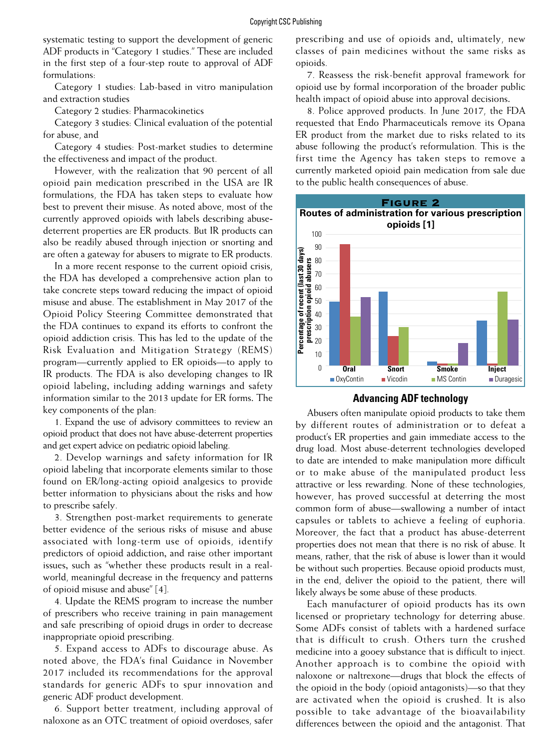systematic testing to support the development of generic ADF products in "Category 1 studies." These are included in the first step of a four-step route to approval of ADF formulations:

Category 1 studies: Lab-based in vitro manipulation and extraction studies

Category 2 studies: Pharmacokinetics

Category 3 studies: Clinical evaluation of the potential for abuse, and

Category 4 studies: Post-market studies to determine the effectiveness and impact of the product.

However, with the realization that 90 percent of all opioid pain medication prescribed in the USA are IR formulations, the FDA has taken steps to evaluate how best to prevent their misuse. As noted above, most of the currently approved opioids with labels describing abusedeterrent properties are ER products. But IR products can also be readily abused through injection or snorting and are often a gateway for abusers to migrate to ER products.

In a more recent response to the current opioid crisis, the FDA has developed a comprehensive action plan to take concrete steps toward reducing the impact of opioid misuse and abuse. The establishment in May 2017 of the Opioid Policy Steering Committee demonstrated that the FDA continues to expand its efforts to confront the opioid addiction crisis. This has led to the update of the Risk Evaluation and Mitigation Strategy (REMS) program—currently applied to ER opioids—to apply to IR products. The FDA is also developing changes to IR opioid labeling, including adding warnings and safety information similar to the 2013 update for ER forms. The key components of the plan:

1. Expand the use of advisory committees to review an opioid product that does not have abuse-deterrent properties and get expert advice on pediatric opioid labeling.

2. Develop warnings and safety information for IR opioid labeling that incorporate elements similar to those found on ER/long-acting opioid analgesics to provide better information to physicians about the risks and how to prescribe safely.

3. Strengthen post-market requirements to generate better evidence of the serious risks of misuse and abuse associated with long-term use of opioids, identify predictors of opioid addiction, and raise other important issues, such as "whether these products result in a realworld, meaningful decrease in the frequency and patterns of opioid misuse and abuse" [4].

4. Update the REMS program to increase the number of prescribers who receive training in pain management and safe prescribing of opioid drugs in order to decrease inappropriate opioid prescribing.

5. Expand access to ADFs to discourage abuse. As noted above, the FDA's final Guidance in November 2017 included its recommendations for the approval standards for generic ADFs to spur innovation and generic ADF product development.

6. Support better treatment, including approval of naloxone as an OTC treatment of opioid overdoses, safer

prescribing and use of opioids and, ultimately, new classes of pain medicines without the same risks as opioids.

7. Reassess the risk-benefit approval framework for opioid use by formal incorporation of the broader public health impact of opioid abuse into approval decisions.

8. Police approved products. In June 2017, the FDA requested that Endo Pharmaceuticals remove its Opana ER product from the market due to risks related to its abuse following the product's reformulation. This is the first time the Agency has taken steps to remove a currently marketed opioid pain medication from sale due to the public health consequences of abuse.





Abusers often manipulate opioid products to take them by different routes of administration or to defeat a product's ER properties and gain immediate access to the drug load. Most abuse-deterrent technologies developed to date are intended to make manipulation more difficult or to make abuse of the manipulated product less attractive or less rewarding. None of these technologies, however, has proved successful at deterring the most common form of abuse—swallowing a number of intact capsules or tablets to achieve a feeling of euphoria. Moreover, the fact that a product has abuse-deterrent properties does not mean that there is no risk of abuse. It means, rather, that the risk of abuse is lower than it would be without such properties. Because opioid products must, in the end, deliver the opioid to the patient, there will likely always be some abuse of these products.

Each manufacturer of opioid products has its own licensed or proprietary technology for deterring abuse. Some ADFs consist of tablets with a hardened surface that is difficult to crush. Others turn the crushed medicine into a gooey substance that is difficult to inject. Another approach is to combine the opioid with naloxone or naltrexone—drugs that block the effects of the opioid in the body (opioid antagonists)—so that they are activated when the opioid is crushed. It is also possible to take advantage of the bioavailability differences between the opioid and the antagonist. That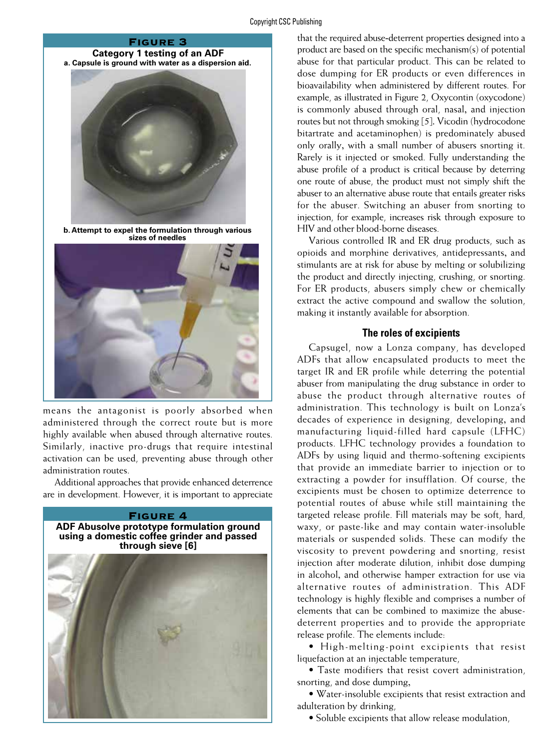#### Copyright CSC Publishing

#### Figure 3

#### **Category 1 testing of an ADF a. Capsule is ground with water as a dispersion aid.**



**b. Attempt to expel the formulation through various sizes of needles**



means the antagonist is poorly absorbed when administered through the correct route but is more highly available when abused through alternative routes. Similarly, inactive pro-drugs that require intestinal activation can be used, preventing abuse through other administration routes.

Additional approaches that provide enhanced deterrence are in development. However, it is important to appreciate



that the required abuse-deterrent properties designed into a product are based on the specific mechanism(s) of potential abuse for that particular product. This can be related to dose dumping for ER products or even differences in bioavailability when administered by different routes. For example, as illustrated in Figure 2, Oxycontin (oxycodone) is commonly abused through oral, nasal, and injection routes but not through smoking [5]. Vicodin (hydrocodone bitartrate and acetaminophen) is predominately abused only orally, with a small number of abusers snorting it. Rarely is it injected or smoked. Fully understanding the abuse profile of a product is critical because by deterring one route of abuse, the product must not simply shift the abuser to an alternative abuse route that entails greater risks for the abuser. Switching an abuser from snorting to injection, for example, increases risk through exposure to HIV and other blood-borne diseases.

Various controlled IR and ER drug products, such as opioids and morphine derivatives, antidepressants, and stimulants are at risk for abuse by melting or solubilizing the product and directly injecting, crushing, or snorting. For ER products, abusers simply chew or chemically extract the active compound and swallow the solution, making it instantly available for absorption.

#### **The roles of excipients**

Capsugel, now a Lonza company, has developed ADFs that allow encapsulated products to meet the target IR and ER profile while deterring the potential abuser from manipulating the drug substance in order to abuse the product through alternative routes of administration. This technology is built on Lonza's decades of experience in designing, developing, and manufacturing liquid-filled hard capsule (LFHC) products. LFHC technology provides a foundation to ADFs by using liquid and thermo-softening excipients that provide an immediate barrier to injection or to extracting a powder for insufflation. Of course, the excipients must be chosen to optimize deterrence to potential routes of abuse while still maintaining the targeted release profile. Fill materials may be soft, hard, waxy, or paste-like and may contain water-insoluble materials or suspended solids. These can modify the viscosity to prevent powdering and snorting, resist injection after moderate dilution, inhibit dose dumping in alcohol, and otherwise hamper extraction for use via alternative routes of administration. This ADF technology is highly flexible and comprises a number of elements that can be combined to maximize the abusedeterrent properties and to provide the appropriate release profile. The elements include:

• High-melting-point excipients that resist liquefaction at an injectable temperature,

• Taste modifiers that resist covert administration, snorting, and dose dumping,

• Water-insoluble excipients that resist extraction and adulteration by drinking,

• Soluble excipients that allow release modulation,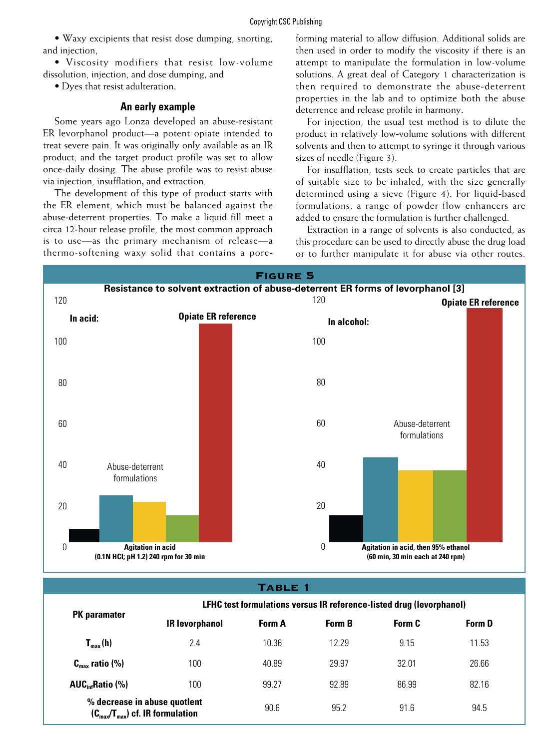• Waxy excipients that resist dose dumping, snorting, and injection,

• Viscosity modifiers that resist low-volume dissolution, injection, and dose dumping, and

• Dyes that resist adulteration.

#### **An early example**

Some years ago Lonza developed an abuse-resistant ER levorphanol product—a potent opiate intended to treat severe pain. It was originally only available as an IR product, and the target product profile was set to allow once-daily dosing. The abuse profile was to resist abuse via injection, insufflation, and extraction.

The development of this type of product starts with the ER element, which must be balanced against the abuse-deterrent properties. To make a liquid fill meet a circa 12-hour release profile, the most common approach is to use—as the primary mechanism of release—a thermo-softening waxy solid that contains a poreforming material to allow diffusion. Additional solids are then used in order to modify the viscosity if there is an attempt to manipulate the formulation in low-volume solutions. A great deal of Category 1 characterization is then required to demonstrate the abuse-deterrent properties in the lab and to optimize both the abuse deterrence and release profile in harmony.

For injection, the usual test method is to dilute the product in relatively low-volume solutions with different solvents and then to attempt to syringe it through various sizes of needle (Figure 3).

For insufflation, tests seek to create particles that are of suitable size to be inhaled, with the size generally determined using a sieve (Figure 4). For liquid-based formulations, a range of powder flow enhancers are added to ensure the formulation is further challenged.

Extraction in a range of solvents is also conducted, as this procedure can be used to directly abuse the drug load or to further manipulate it for abuse via other routes.



#### Table 1

| <b>PK</b> paramater                                                                  | LFHC test formulations versus IR reference-listed drug (levorphanol) |               |               |        |               |
|--------------------------------------------------------------------------------------|----------------------------------------------------------------------|---------------|---------------|--------|---------------|
|                                                                                      | <b>IR levorphanol</b>                                                | <b>Form A</b> | <b>Form B</b> | Form C | <b>Form D</b> |
| $T_{max}(h)$                                                                         | 2.4                                                                  | 10.36         | 12.29         | 9.15   | 11.53         |
| $C_{\text{max}}$ ratio (%)                                                           | 100                                                                  | 40.89         | 29.97         | 3201   | 26.66         |
| $AUC_{\text{inf}}$ Ratio (%)                                                         | 100                                                                  | 99.27         | 92.89         | 86.99  | 82.16         |
| % decrease in abuse quotlent<br>$(C_{\text{max}}/T_{\text{max}})$ cf. IR formulation |                                                                      | 90.6          | 95.2          | 91.6   | 94.5          |